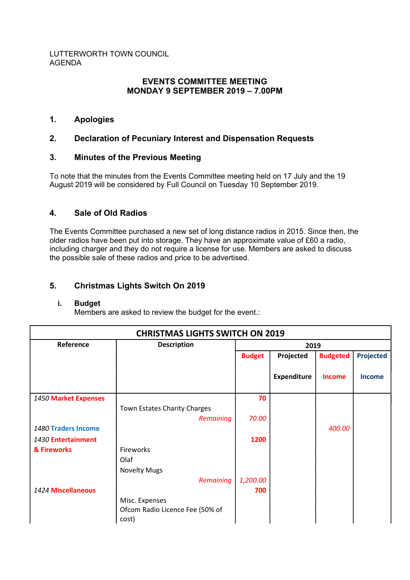### LUTTERWORTH TOWN COUNCIL AGENDA

# EVENTS COMMITTEE MEETING MONDAY 9 SEPTEMBER 2019 – 7.00PM

# 1. Apologies

# 2. Declaration of Pecuniary Interest and Dispensation Requests

# 3. Minutes of the Previous Meeting

To note that the minutes from the Events Committee meeting held on 17 July and the 19 August 2019 will be considered by Full Council on Tuesday 10 September 2019.

# 4. Sale of Old Radios

The Events Committee purchased a new set of long distance radios in 2015. Since then, the older radios have been put into storage. They have an approximate value of £60 a radio, including charger and they do not require a license for use. Members are asked to discuss the possible sale of these radios and price to be advertised.

# 5. Christmas Lights Switch On 2019

### i. Budget

Members are asked to review the budget for the event.:

| <b>CHRISTMAS LIGHTS SWITCH ON 2019</b> |                                                            |               |                    |                 |                  |  |  |  |  |  |
|----------------------------------------|------------------------------------------------------------|---------------|--------------------|-----------------|------------------|--|--|--|--|--|
| Reference                              | <b>Description</b>                                         | 2019          |                    |                 |                  |  |  |  |  |  |
|                                        |                                                            | <b>Budget</b> | Projected          | <b>Budgeted</b> | <b>Projected</b> |  |  |  |  |  |
|                                        |                                                            |               | <b>Expenditure</b> | <b>Income</b>   | <b>Income</b>    |  |  |  |  |  |
| 1450 Market Expenses                   |                                                            | 70            |                    |                 |                  |  |  |  |  |  |
|                                        | Town Estates Charity Charges                               |               |                    |                 |                  |  |  |  |  |  |
|                                        | Remaining                                                  | 70.00         |                    |                 |                  |  |  |  |  |  |
| 1480 Traders Income                    |                                                            |               |                    | 400.00          |                  |  |  |  |  |  |
| 1430 Entertainment                     |                                                            | 1200          |                    |                 |                  |  |  |  |  |  |
| & Fireworks                            | Fireworks                                                  |               |                    |                 |                  |  |  |  |  |  |
|                                        | Olaf                                                       |               |                    |                 |                  |  |  |  |  |  |
|                                        | <b>Novelty Mugs</b>                                        |               |                    |                 |                  |  |  |  |  |  |
|                                        | Remaining                                                  | 1,200.00      |                    |                 |                  |  |  |  |  |  |
| 1424 Miscellaneous                     |                                                            | 700           |                    |                 |                  |  |  |  |  |  |
|                                        | Misc. Expenses<br>Ofcom Radio Licence Fee (50% of<br>cost) |               |                    |                 |                  |  |  |  |  |  |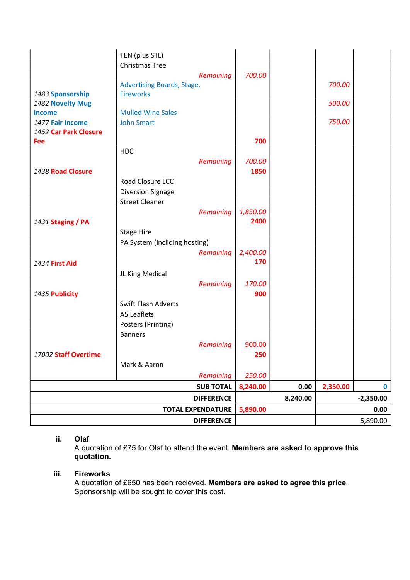| <b>Fee</b>                                |                               |                   | 700      |          |          |             |
|-------------------------------------------|-------------------------------|-------------------|----------|----------|----------|-------------|
| 1477 Fair Income<br>1452 Car Park Closure | <b>John Smart</b>             |                   |          |          | 750.00   |             |
|                                           | <b>HDC</b>                    |                   |          |          |          |             |
|                                           |                               | <b>Remaining</b>  | 700.00   |          |          |             |
| 1438 Road Closure                         |                               |                   | 1850     |          |          |             |
|                                           | Road Closure LCC              |                   |          |          |          |             |
|                                           | <b>Diversion Signage</b>      |                   |          |          |          |             |
|                                           | <b>Street Cleaner</b>         |                   |          |          |          |             |
|                                           |                               | Remaining         | 1,850.00 |          |          |             |
| 1431 Staging / PA                         |                               |                   | 2400     |          |          |             |
|                                           | <b>Stage Hire</b>             |                   |          |          |          |             |
|                                           | PA System (incliding hosting) |                   |          |          |          |             |
|                                           |                               | <b>Remaining</b>  | 2,400.00 |          |          |             |
| 1434 First Aid                            |                               |                   | 170      |          |          |             |
|                                           | JL King Medical               |                   |          |          |          |             |
|                                           |                               | Remaining         | 170.00   |          |          |             |
| 1435 Publicity                            |                               |                   | 900      |          |          |             |
|                                           | <b>Swift Flash Adverts</b>    |                   |          |          |          |             |
|                                           | A5 Leaflets                   |                   |          |          |          |             |
|                                           | Posters (Printing)            |                   |          |          |          |             |
|                                           | <b>Banners</b>                |                   |          |          |          |             |
|                                           |                               | Remaining         | 900.00   |          |          |             |
| 17002 Staff Overtime                      |                               |                   | 250      |          |          |             |
|                                           | Mark & Aaron                  |                   |          |          |          |             |
|                                           |                               | Remaining         | 250.00   |          |          |             |
|                                           |                               | <b>SUB TOTAL</b>  | 8,240.00 | 0.00     | 2,350.00 | $\bf{0}$    |
|                                           |                               | <b>DIFFERENCE</b> |          | 8,240.00 |          | $-2,350.00$ |
|                                           | <b>TOTAL EXPENDATURE</b>      |                   | 5,890.00 |          |          | 0.00        |
|                                           |                               | <b>DIFFERENCE</b> |          |          |          | 5,890.00    |

### ii. Olaf

A quotation of £75 for Olaf to attend the event. Members are asked to approve this quotation.

## iii. Fireworks

A quotation of £650 has been recieved. Members are asked to agree this price. Sponsorship will be sought to cover this cost.